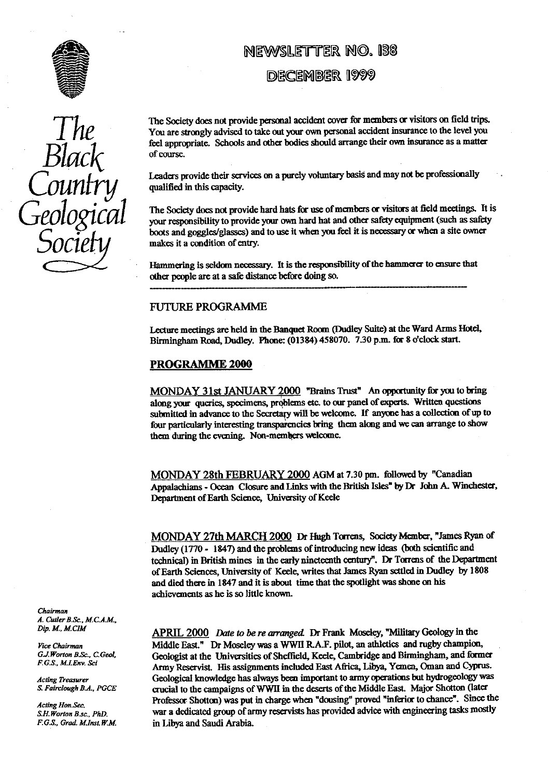

*Black Counhy Geological Socie..*

## **NEWSLETTER N4. !38**

## **DECEMBER 1999**

The Society does not provide personal accident cover for members or visitors on field trips. You are strongly advised to take out your own personal accident insurance to the level you feel appropriate. Schools and other bodies should arrange their own insurance as a matter of course.

Leaders provide their services on a purely voluntary basis and may not be professionally qualified in this capacity.

The Society does not provide hard hats for use of members or visitors at field meetings. It is your responsibility to provide your own hard hat and other safety equipment (such as safety boots and goggles/glasses) and to use it when you feel it is necessary or when a site owner makes it a condition of entry.

Hammering is seldom necessary. It is the responsibility of the hammerer to ensure that other people are at a safe distance before doing so.

#### FUTURE PROGRAMME

Lecture meetings are held in the Banquet Room (Dudley Suite) at the Ward Arms Hotel, Birmingham Road, Dudley. Phone: (01384) 458070. 7.30 p.m. for 8 o'clock start.

#### **PROGRAMME 2000**

MONDAY 31st JANUARY 2000 'Brains Trust" An opportunity for you to bring along your queries, specimens, problems etc. to our panel of experts. Written questions submitted in advance to the Secretary will be welcome. If anyone has a collection of up to four particularly interesting transparencies bring them along and we can arrange to show them during the evening. Non-members welcome.

MONDAY 28th FEBRUARY 2000 AGM at 7.30 pm. followed by "Canadian Appalachians - Ocean Closure and Links with the British Isles" by Dr John A. Winchester, Department of Earth Science, University of Keele

MONDAY 27th MARCH 2000 Dr Hugh Torrens, Society Member, "James Ryan of Dudley (1770 - 1847) and the problems of introducing new ideas (both scientific and technical) in British mines in the early nineteenth century". Dr Torrens of the Department of Earth Sciences, University of Keele, writes that James Ryan settled in Dudley by 1808 and died there in 1847 and it is about time that the spotlight was shone on his achievements as he is so little known.

**APRIL 2000** *Date to be re arranged*. Dr Frank Moseley, "Military Geology in the *Vice Chairman* **Middle East."** Dr Moseley was a WWH R.A.F. pilot, an athletics and rugby champion, *G.J.Worton B.Sc., C.Geol*, **Computer Computer Computer** Geologist at the Universities of Sheffield Keele, Cambridge and B *G.J.Worton B.Sc., C.Geol.* Geologist at the Universities of Sheffield, Keele, Cambridge and Birmingham, and former<br>*F.G.S., M.LEnv. Sci* **Alternation** Because the University of Sheffield Foot Africa Library Nemen, Oman an F.G.S., M.I.Env. Sci **Army Reservist.** His assignments included East Africa, Libya, Yemen, Oman and Cyprus. *Acting Treasurer* Geological knowledge has always been important to army operations but hydrogeology was<br>*S. Fairclough B.A., PGCE* crucial to the campaigns of WWII in the deserts of the Middle East. Major Shotton (later *Grucial to the campaigns of WWII in the deserts of the Middle East. Major Shotton (later* Acting *Hon.Sec.* Professor Shotton) was put in charge when "dousing" proved "inferior to chance". Since the S.H.Worton B.sc., PhD. war a dedicated group of army reservists has provided advice with engineering tasks mostly *S.H.Worton B.sc., PhD.* war a dedicated group of army reservists has provided advice with engineering tasks mostly F.G.S., Grad. M.Inst. W.M. in Libya and Saudi Arabia. in Libya and Saudi Arabia.

*Chairman A. Cutler B.Sc.. M.C.A.M.,*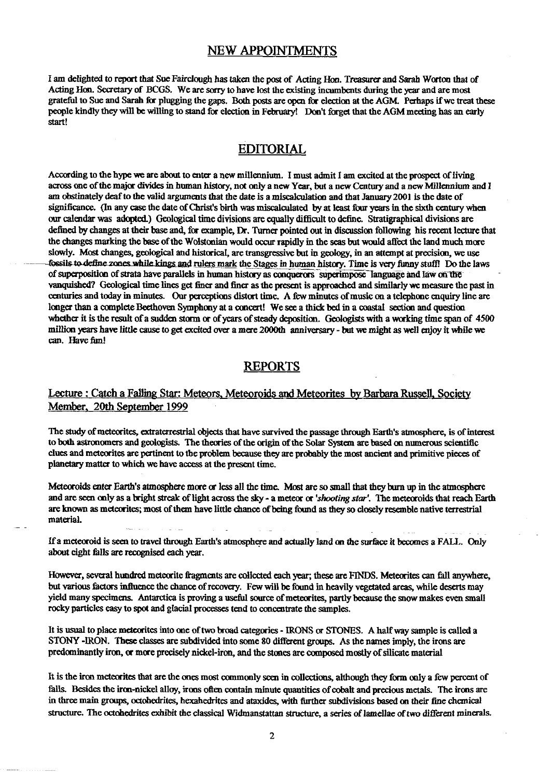### **NEW APPOINTMENTS**

I am delighted to report that Sue Fairelough has taken the post of Acting Hon. Treasurer and Sarah Worton that of Acting Hon. Secretary of BCGS. We are sorry to have lost the existing incumbents during the year and are most grateful to Sue and Sarah for plugging the gaps. Both posts are open for election at the AGM. Perhaps if we treat these people kindly they will be willing to stand for election in February! Don't forget that the AGM meeting has an early start!

### **EDITORIAL**

According to the hype we are about to enter a new millennium. I must admit I am excited at the prospect of living across one of the major divides in human history, not only *a new* Year, but a new Century and a new Millennium and I am obstinately deaf to the valid arguments that the date is a miscalculation and that January 2001 is the date of significance. **(In** any case the date of Christ's birth was miscalculated by at least four years in the sixth century when our calendar was adopted.) Geological time divisions are equally difficult to define. **Stratigraphical** divisions are defined by changes at their base and, for example, Dr. Turner pointed out in discussion following his recent lecture that the changes marking the base of the Wolstooian would occur rapidly in the seas but would affect the land much more slowly. Most changes, geological and historical, are transgressive but in geology, in an attempt at precision, we use fossils to define zones while kings and rulers mark the Stages in human history. Time is very funny stuff! Do the laws of superposition of strata have parallels in human history as conquerors superimpose Tanguage and Iaw on the vanquished? Geological time lines get finer and finer as the present is approached and similarly we measure the past in centuries and today in minutes. Our perceptions distort time. A few minutes of music on a telephone enquiry line are longer than a complete Beethoven Symphony at a concert! We see a thick bed in a coastal section and question whether it is the result of a sudden storm **or** of years of steady deposition. Geologists with a working time span of 4500 million years have little cause to get excited *over* a mere 2000th anniversary - but we might as well enjoy it while we can. Have fim!

#### REPORTS

#### Lecture : Catch a Falling Star: Meteors, Meteoroids and Meteorites by Barbara Russell, Society Member, 20th September 1999

The study of meteorites, extraterrestrial objects that have survived the passage through Earth's atmosphere, is of interest to both astronomers and geologists. The theories of the origin of the Solar System are based on numerous scientific clues and meteorites are pertinent to the problem because they are probably the most ancient and primitive pieces of planetary matter to which we have access at the present time.

Meteoroids enter Earth's atmosphere more or less all the time. Most are so small that they burn up in the atmosphere and are seen only as a bright streak of light across the sky - a meteor or *'shooting star'.* The meteoroids that reach Earth are known as meteorites; most of them have little chance of being found as they so closely resemble native terrestrial material.

If a meteoroid is seen to travel through Earth's atmosphere and actually land **on** the surface it becomes a FALL. Only about eight falls are recognised each year.

However, several hundred meteorite fragments are collected each year; these are FINDS. Meteorites can fall anywhere, but various factors influence the chance of recovery. Few will be found in heavily vegetated areas, while deserts may yield many specimens. Antarctica is proving a useful source of meteorites, partly because the snow makes even small rocky particles easy to spot and glacial processes tend to concentrate the samples.

It is usual to place meteorites into one of two broad categories- IRONS **or** STONES. A halfway sample is called a STONY -IRON. These classes are subdivided into some 80 different groups. As the names imply, the irons are predominantly iron, or more precisely nickel-iron, and the stones are composed mostly of silicate material

It is the iron meteorites that are the ones most commonly seen in collections, although they form only a few percent of falls. Besides the iron-nickel alloy, irons often contain minute quantities of cobalt and precious metals. The irons are in three main groups, octohedrites, hexahedrites and ataxides, with further subdivisions based on their fine chemical structure. The octobedrites exhibit the classical Widmanstattan structure, a series of lamellae of two different minerals.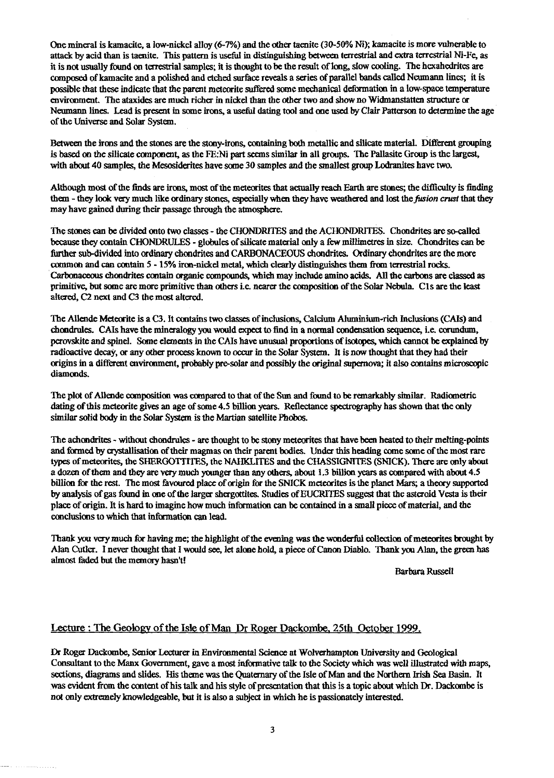One mineral is kamacite, a Iow-nickel alloy (6-7%) and the other tacnite (30-50% Ni); kamacite is more vulnerable to attack by acid than is taenite. This pattern is useful in distinguishing between terrestrial and extra terrestrial Ni-Fe, as it is not usually found on terrestrial samples; it is thought to be the result of long, slow cooling. The hexahedrites are composed of kamacite and a polished and etched surface reveals a series of parallel bands called Neumann lines; it is possible that these indicate that the parent meteorite suffered some mechanical deformation in a low-space temperature environment. The ataxides are much richer in nickel than the other two and show no Widmanstatten structure or Neumann lines. Lead is present in some irons, a useful dating tool and one used by Clair Patterson to determine the age of the Universe and Solar System.

Between the irons and the stones are the stony-irons, containing both metallic and silicate material. Different grouping is based on the silicate component, as the FE:Ni part seems similar in all groups. The Pallasite Group is the largest, with about 40 samples, the Mesosiderites have some 30 samples and the smallest group Lodranites have two.

Although most of the finds are irons, most of the meteorites that actually reach Earth are stones; the difficulty is finding than - they look very much like ordinary stones, especially when they have weathered and lost the *fusion crust* that they may have gained during their passage through the atmosphere.

The stones can be divided onto two classes - the CHONDRITES and the ACHONDRTTES. Chondrites are so-called because they contain CHONDRULES - globules of silicate material only a few millimetres in size. Chondrites can be further sub-divided into ordinary chondrites and CARBONACEOUS chondrites. Ordinary chondrites are the more common and can contain 5 -15% iron nickel metal, which clearly distinguishes them from terrestrial rocks. Carbonaceous chondrites contain organic compounds, which may include amino acids. All the carbons are classed as primitive, but some are more primitive than others i.e. nearer the composition of the Solar Nebula. Cl s are the least altered, C2 next and C3 the most altered.

The Allende Meteorite is a C3. It contains two classes of inclusions, Calcium Aluminium-rich Inclusions (CAIs) and chondrules. CAIs have the mineralogy you would expect to find in a normal condensation sequence, i.e. corundum, perovskite and spine]. Some elements in the CAIs have unusual proportions of isotopes, which cannot be explained by radioactive decay, or any other process known to occur in the Solar System. It is now thought that they had their origins in a different environment, probably pre-solar and possibly the original supernova; it also contains microscopic diamonds.

The plot of Allende composition was compared to that of the Sun and found to be remarkably similar. Radiometric dating of this meteorite gives an age of some 4.5 billion years. Reflectance spectrography has shown that the only similar solid body in the Solar System is the Martian satellite Phobos.

The achondrites - without chondrules - are thought to be stony meteorites that have been heated to their melting-points and formed by crystallisation of their magmas on their parent bodies. Under this heading come some of the most rare types of meteorites, the SHERGOTTITES, the NAHKLITES and the CHASSIGNITES (SNICK). There are only about a dozen of them and they are very much younger than any others, about 1.3 billion years as compared with about 4.5 billion for the rest. The most favoured place of origin for the SNICK meteorites is the planet Mars; a theory supported by analysis of gas found in one of the larger shergottites. Studies of EUCRITES suggest that the asteroid Vesta is their place of origin. It is hard to imagine how much information can be contained in a small piece of material, and the conclusions to which that information can lead.

Thank you very much for having me; the highlight of the evening was the wonderful collection of meteorites brought by Alan Cutler. I never thought that I would see, let alone hold, a piece of Canon Diablo. Thank you Alan, the green has almost faded but the memory hasn't!

Barbara Russell

#### Lecture : The Geology of the Isle of Man Dr Roger Dackombe. 25th October 1999.

Dr Roger Dackombe, Senior Lecturer in Environmental Science at Wolverhampton University and Geological Consultant to the Manx Government, gave a most informative talk to the Society which was well illustrated with maps, sections, diagrams and slides. His theme was the Quaternary of the Isle of Man and the Northern Irish Sea Basin. It was evident from the content of his talk and his style of presentation that this is a topic about which Dr. Dackombe is not only extremely knowledgeable, but it is also a subject in which he is passionately interested.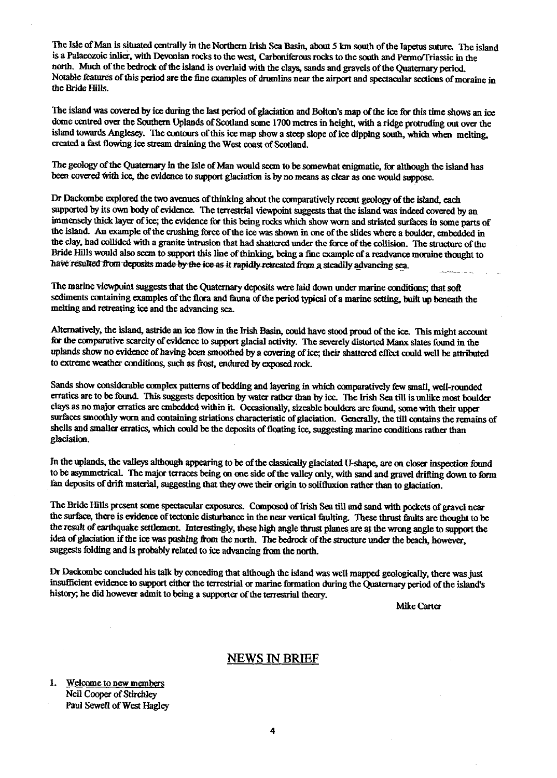The Isle of Man is situated centrally in the Northern Irish Sea Basin, about 5 km south of the Iapetus suture. The island is a Palaeozoic inlier, with Devonian rocks to the west, Carboniferous rocks to the south and Permo/Triassic in the north. Much of the bedrock of the island is overlaid with the clays, sands and gravels of the Quaternary period. Notable features of this period are the fine examples of drumlins near the airport and spectacular sections of moraine in the Bride Hills.

The island was covered by ice during the last period of glaciation and Bolton's map of the ice for this time shows an ice dome centred over the Southern Uplands of Scotland some 1700 metres in height, with a ridge protruding out over the island towards Anglesey. The contours of this ice map show a steep slope of ice dipping south, which when melting, created a fast flowing ice stream draining the West coast of Scotland.

The geology of the Quaternary in the Isle of Man would seem to be somewhat enigmatic, for although the island has been covered with ice, the evidence to support glaciation is by no means as clear as one would suppose.

Dr Dackombe explored the two avenues of thinking about the comparatively recent geology of the island, each supported by its own body of evidence. The terrestrial viewpoint suggests that the island was indeed covered by an immensely thick layer of ice; the evidence for this being rocks which show worn and striated surfaces in some parts of the island. An example of the crushing force of the ice was shown in one of the slides where a boulder, embedded in the clay, had collided with a granite intrusion that had shattered under the force of the collision. The structure of the Bride Hills would also seem to support this line of thinking, being a fine example of a readvance moraine thought to have resulted from deposits made by the ice-as-it rapidly retreated from a steadily advancing sea.

The marine viewpoint suggests that the Quaternary deposits were laid down under marine conditions; that soft sediments containing examples of the flora and fauna of the period typical of a marine setting, built up beneath the melting and retreating ice and the advancing sea.

Alternatively, the island, astride an ice flow in the Irish Basin, could have stood proud of the ice. This might account for the comparative scarcity of evidence to support glacial activity. The severely distorted Manx slates found in the uplands show no evidence of having been smoothed by a covering of ice; their shattered effect could well be attributed to extreme weather conditions, such as frost, endured by exposed rock.

Sands show considerable complex patterns of bedding and layering in which comparatively few small, well-rounded erratics are to be found. This suggests deposition by water rather than by ice. The Irish Sea till is unlike most boulder clays as no major erratics are embedded within it. Occasionally, sizeable boulders are found, some with their upper surfaces smoothly worn and containing striations characteristic of glaciation. Generally, the till contains the remains of shells and smaller erratics, which could be the deposits of floating ice, suggesting marine conditions rather than glaciation.

In the uplands, the valleys although appearing to be of the classically glaciated U-shape, are on closer inspection found to be asymmetrical. The major terraces being on one side of the valley only, with sand and gravel drifting down to farm fan deposits of drift material, suggesting that they owe their origin to solifluxion rather than to glaciation.

The Bride Hills present some spectacular exposures. Composed of Irish Sea till and sand with pockets of gravel near the surface, there is evidence of tectonic disturbance in the near vertical faulting. These thrust faults are thought to be the result of earthquake settlement. Interestingly, these high angle thrust planes are at the wrong angle to support the idea of glaciation if the ice was pushing from the north. The bedrock of the structure under the beach, *however,* suggests folding and is probably related to ice advancing from the north.

Dr Dackombe concluded his talk by conceding that although the island was well mapped geologically, there was just insufficient evidence to support either the terrestrial or marine formation during the Quaternary period of the island's history; he did however admit to being a supporter of the terrestrial theory.

Mike Carter

#### NEWS IN BRIEF

1. Welcome to new members Neil Cooper of Stirchley Paul Sewell of West Hagley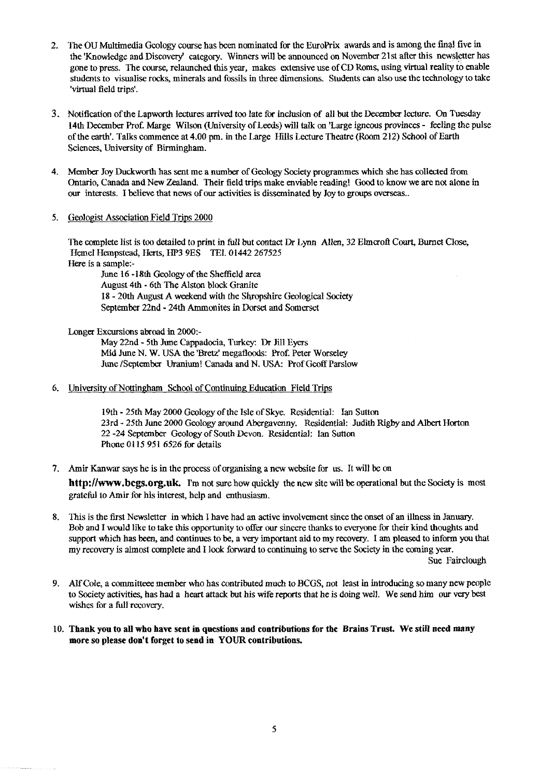- 2. The OU Multimedia Geology course has been nominated for the EuroPrix awards and is among the final five in the 'Knowledge and Discovery' category. Winners will be announced on November 21st after this newsletter has gone to press. The course, relaunched this year, makes extensive use of CD Roms, using virtual reality to enable students to visualise rocks, minerals and fossils in three dimensions. Students can also use the technology to take 'virtual field trips'.
- 3. Notification of the Lapworth lectures arrived too late for inclusion of all but the December lecture. On Tuesday 14th December Prof. Marge Wilson (University of Leeds) will talk on 'Large igneous provinces - feeling the pulse of the earth'. Talks commence at 4.00 pm. in the Large Hills Lecture Theatre (Room 212) School of Earth Sciences, University of Birmingham.
- 4. Member Joy Duckworth has sent me a number of Geology Society programmes which she has collected from Ontario, Canada and New Zealand. Their field trips make enviable reading! Good to know we are not alone in our interests. I believe that news of our activities is disseminated by Joy to groups overseas..
- 5. Geologist Association Field Trips 2000

The complete list is too detailed to print in full but contact Dr Lynn Allen, 32 Elmcrofl Court, Burnet Close, Hemel Hempstead, Herts, HP3 9ES TEL 01442 267525 Here is a sample:-

June 16 -18th Geology of the Sheffield area August 4th - 6th The Alston block Granite 18-20th August A weekend with the Shropshire Geological Society September 22nd - 24th Ammonites in Dorset and Somerset

Longer Excursions abroad in 2000:-

May 22nd - 5th June Cappadocia, Turkey: Dr Jill Eyers Mid June N. W. USA the 'Bretz' megafloods: Prof. Peter Worseley June /September Uranium! Canada and N. USA: Prof Geoff Parsiow

6. University of Nottingham School of Continuing Education Field Trips

19th - 25th May 2000 Geology of the Isle of Skye. Residential: Ian Sutton 23rd - 25th June 2000 Geology around Abergavenny. Residential: Judith Rigby and Albert Horton 22 -24 September Geology of South Devon. Residential: Ian Sutton Phone 0115 951 6526 for details

7. Amir Kanwar says he is in the process of organising a new website for us. It will be on

**[http:](http://www.bcgs.org.uk)**[/](http://www.bcgs.org.uk)**[/www.bcgs.org.uk](http://www.bcgs.org.uk).** I'm not sure how quickly the new site will be operational but the Society is most grateful to Amir for his interest, help and enthusiasm.

S. This is the first Newsletter in which I have had an active involvement since the onset of an illness in January. Bob and I would like to take this opportunity to offer our sincere thanks to everyone for their kind thoughts and support which has been, and continues to be, a very important aid to my recovery. I am pleased to inform you that my recovery is almost complete and I look forward to continuing to serve the Society in the coming year.

Sue Fairclough

- 9. Alf Cole, a committees member who has contributed much to BCGS, not least in introducing so many new people to Society activities, has had a heart attack but his wife reports that he is doing well. We send him our very best wishes for a full recovery.
- **10. Thank you to all who have sent in questions and contributions for the Brains Trust. We still need many more so please don't forget to send in YOUR contributions.**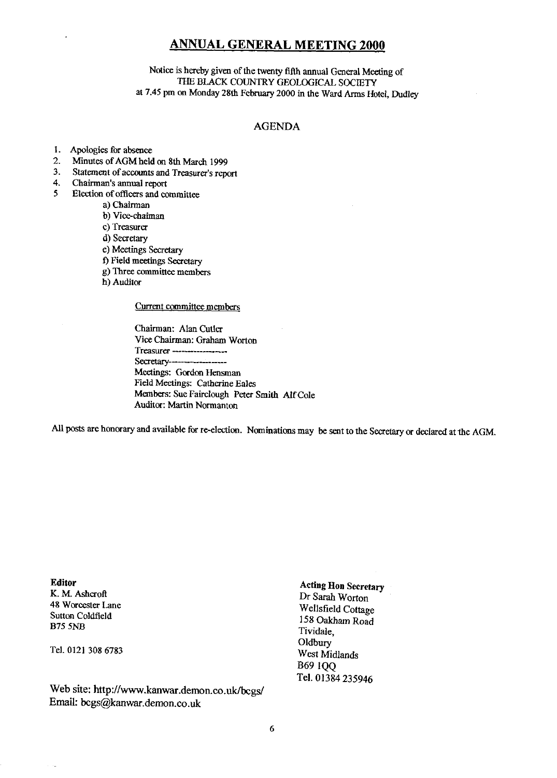### **ANNUAL GENERAL MEETING 2000**

Notice is hereby given of the twenty fifth annual General Meeting of THE BLACK COUNTRY GEOLOGICAL SOCIETY at 7.45 pm on Monday 28th February 2000 in the Ward Arms Hotel, Dudley

#### AGENDA

- 1. Apologies for absence
- 2. Minutes of AGM held on 8th March 1999
- 3. Statement of accounts and Treasurer's report 4. Chairman's annual report
- 4. Chairman's annual report<br>5 Election of officers and co
- 5 Election of officers and committee
	- a) Chairman
	- b) Vice-chaiman
	- c) Treasurer
	- d) Secretary
	- c) Meetings Secretary
	- 1) Field meetings Secretary
	- g) Three committee members
	- h) Auditor

#### Current committee members

Chairman: Alan Cutler Vice Chairman: Graham Worton Treasurer--------------- Secretary------------------- Meetings: Gordon Hensman Field Meetings: Catherine Eales Members: Sue Fairclough Peter Smith Alf Cole Auditor: Martin Normanton

All posts are honorary and available for re-election. Nominations may be sent to the Secretary or declared at *the AGM.*

**Editor** K. M. Ashcroft 48 Worcester Lane Sutton Coldfield B75 5NB

Tel. 0121 308 6783

Web site: http://www.kanwar.demon.co.uk/bcgs/ [Email: bcgs@kanwar.dernon.co.uk](mailto:bcgs@kanwar.dernon.co.uk)

**Acting Hon Secretary** Dr Sarah Worton Wellsfield Cottage 158 Oakham Road Tividale, Oldbury West Midlands B69 IQQ Tel. 01384 235946